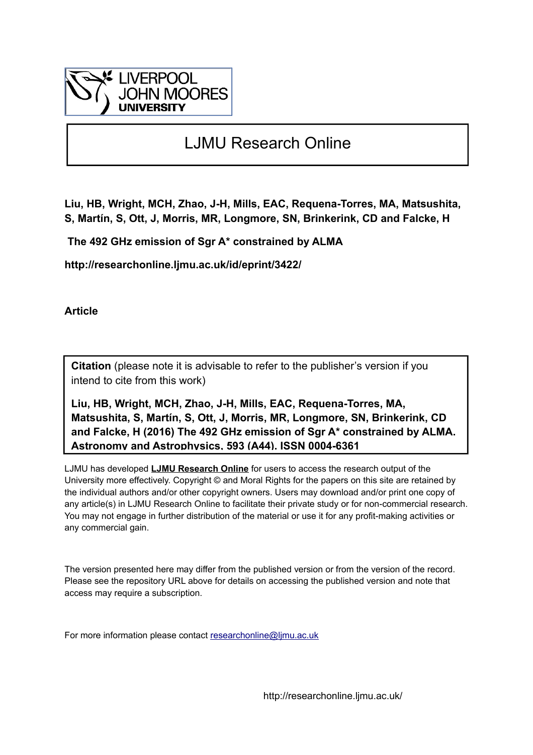

# LJMU Research Online

**Liu, HB, Wright, MCH, Zhao, J-H, Mills, EAC, Requena-Torres, MA, Matsushita, S, Martín, S, Ott, J, Morris, MR, Longmore, SN, Brinkerink, CD and Falcke, H**

 **The 492 GHz emission of Sgr A\* constrained by ALMA**

**http://researchonline.ljmu.ac.uk/id/eprint/3422/**

**Article**

**Citation** (please note it is advisable to refer to the publisher's version if you intend to cite from this work)

**Liu, HB, Wright, MCH, Zhao, J-H, Mills, EAC, Requena-Torres, MA, Matsushita, S, Martín, S, Ott, J, Morris, MR, Longmore, SN, Brinkerink, CD and Falcke, H (2016) The 492 GHz emission of Sgr A\* constrained by ALMA. Astronomy and Astrophysics, 593 (A44). ISSN 0004-6361** 

LJMU has developed **[LJMU Research Online](http://researchonline.ljmu.ac.uk/)** for users to access the research output of the University more effectively. Copyright © and Moral Rights for the papers on this site are retained by the individual authors and/or other copyright owners. Users may download and/or print one copy of any article(s) in LJMU Research Online to facilitate their private study or for non-commercial research. You may not engage in further distribution of the material or use it for any profit-making activities or any commercial gain.

The version presented here may differ from the published version or from the version of the record. Please see the repository URL above for details on accessing the published version and note that access may require a subscription.

For more information please contact [researchonline@ljmu.ac.uk](mailto:researchonline@ljmu.ac.uk)

http://researchonline.ljmu.ac.uk/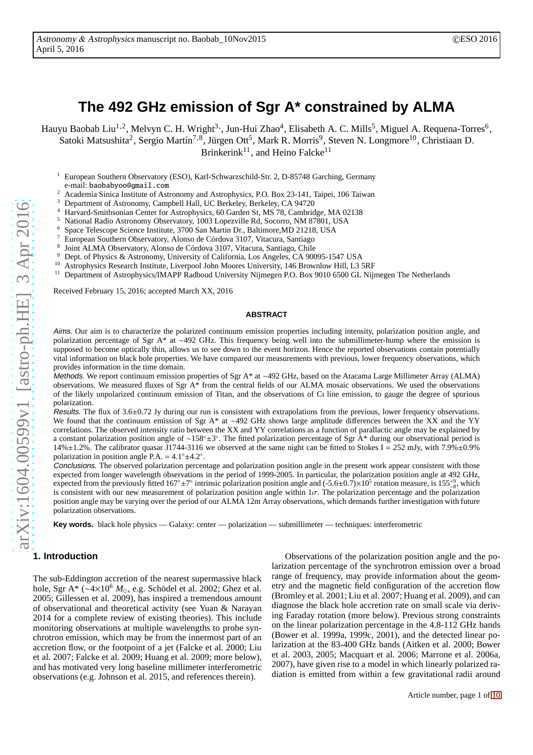# **The 492 GHz emission of Sgr A\* constrained by ALMA**

Hauyu Baobab Liu<sup>1,2</sup>, Melvyn C. H. Wright<sup>3,</sup>, Jun-Hui Zhao<sup>4</sup>, Elisabeth A. C. Mills<sup>5</sup>, Miguel A. Requena-Torres<sup>6</sup>, Satoki Matsushita<sup>2</sup>, Sergio Martín<sup>7,8</sup>, Jürgen Ott<sup>5</sup>, Mark R. Morris<sup>9</sup>, Steven N. Longmore<sup>10</sup>, Christiaan D. Brinkerink<sup>11</sup>, and Heino Falcke<sup>11</sup>

<sup>1</sup> European Southern Observatory (ESO), Karl-Schwarzschild-Str. 2, D-85748 Garching, Germany e-mail: baobabyoo@gmail.com

- <sup>2</sup> Academia Sinica Institute of Astronomy and Astrophysics, P.O. Box 23-141, Taipei, 106 Taiwan<sup>2</sup>
- <sup>3</sup> Department of Astronomy, Campbell Hall, UC Berkeley, Berkeley, CA 94720
- <sup>4</sup> Harvard-Smithsonian Center for Astrophysics, 60 Garden St, MS 78, Cambridge, MA 02138<br><sup>5</sup> National Bodie Astronomy Observatory, 1003 Longwills Bd, Sessence NM 97901, USA
- <sup>5</sup> National Radio Astronomy Observatory, 1003 Lopezville Rd, Socorro, NM 87801, USA<br><sup>6</sup> Spees Telessons Science Institute 2700 Sep Mertip Dr. Peltimore MD 21218, USA
- <sup>6</sup> Space Telescope Science Institute, 3700 San Martin Dr., Baltimore,MD 21218, USA
- <sup>7</sup> European Southern Observatory, Alonso de Córdova 3107, Vitacura, Santiago
- 8 Joint ALMA Observatory, Alonso de Córdova 3107, Vitacura, Santiago, Chile
- <sup>9</sup> Dept. of Physics & Astronomy, University of California, Los Angeles, CA 90095-1547 USA<br><sup>10</sup> Astrophysics Becearch Institute Liverpool John Mogres University 146 Brownlow Hill L2.
- <sup>10</sup> Astrophysics Research Institute, Liverpool John Moores University, 146 Brownlow Hill, L3 5RF
- <sup>11</sup> Department of Astrophysics/IMAPP Radboud University Nijmegen P.O. Box 9010 6500 GL Nijmegen The Netherlands

Received February 15, 2016; accepted March XX, 2016

#### **ABSTRACT**

Aims. Our aim is to characterize the polarized continuum emission properties including intensity, polarization position angle, and polarization percentage of Sgr A\* at ∼492 GHz. This frequency being well into the submillimeter-hump where the emission is supposed to become optically thin, allows us to see down to the event horizon. Hence the reported observations contain potentially vital information on black hole properties. We have compared our measurements with previous, lower frequency observations, which provides information in the time domain.

Methods. We report continuum emission properties of Sgr A\* at ∼492 GHz, based on the Atacama Large Millimeter Array (ALMA) observations. We measured fluxes of Sgr A\* from the central fields of our ALMA mosaic observations. We used the observations of the likely unpolarized continuum emission of Titan, and the observations of Ci line emission, to gauge the degree of spurious polarization.

Results. The flux of 3.6±0.72 Jy during our run is consistent with extrapolations from the previous, lower frequency observations. We found that the continuum emission of Sgr A\* at ∼492 GHz shows large amplitude differences between the XX and the YY correlations. The observed intensity ratio between the XX and YY correlations as a function of parallactic angle may be explained by a constant polarization position angle of ~158°±3°. The fitted polarization percentage of Sgr A\* during our observational period is 14% $\pm$ 1.2%. The calibrator quasar J1744-3116 we observed at the same night can be fitted to Stokes I = 252 mJy, with 7.9% $\pm$ 0.9% polarization in position angle P.A. =  $4.1^\circ \pm 4.2^\circ$ .

Conclusions. The observed polarization percentage and polarization position angle in the present work appear consistent with those expected from longer wavelength observations in the period of 1999-2005. In particular, the polarization position angle at 492 GHz, expected from the previously fitted  $167^\circ \pm 7^\circ$  intrinsic polarization position angle and  $(-5.6\pm 0.7)\times 10^5$  rotation measure, is  $155^{+9}_{-8}$ , which is consistent with our new measurement of polarization position angle within  $1\sigma$ . The polarization percentage and the polarization position angle may be varying over the period of our ALMA 12m Array observations, which demands further investigation with future polarization observations.

**Key words.** black hole physics — Galaxy: center — polarization — submillimeter — techniques: interferometric

# **1. Introduction**

The sub-Eddington accretion of the nearest supermassive black hole, Sgr A\* (∼4×10<sup>6</sup> *M*⊙, e.g. Schödel et al. 2002; Ghez et al. 2005; Gillessen et al. 2009), has inspired a tremendous amount of observational and theoretical activity (see Yuan & Narayan 2014 for a complete review of existing theories). This include monitoring observations at multiple wavelengths to probe synchrotron emission, which may be from the innermost part of an accretion flow, or the footpoint of a jet (Falcke et al. 2000; Liu et al. 2007; Falcke et al. 2009; Huang et al. 2009; more below), and has motivated very long baseline millimeter interferometric observations (e.g. Johnson et al. 2015, and references therein).

Observations of the polarization position angle and the polarization percentage of the synchrotron emission over a broad range of frequency, may provide information about the geometry and the magnetic field configuration of the accretion flow (Bromley et al. 2001; Liu et al. 2007; Huang et al. 2009), and can diagnose the black hole accretion rate on small scale via deriving Faraday rotation (more below). Previous strong constraints on the linear polarization percentage in the 4.8-112 GHz bands (Bower et al. 1999a, 1999c, 2001), and the detected linear polarization at the 83-400 GHz bands (Aitken et al. 2000; Bower et al. 2003, 2005; Macquart et al. 2006; Marrone et al. 2006a, 2007), have given rise to a model in which linearly polarized radiation is emitted from within a few gravitational radii around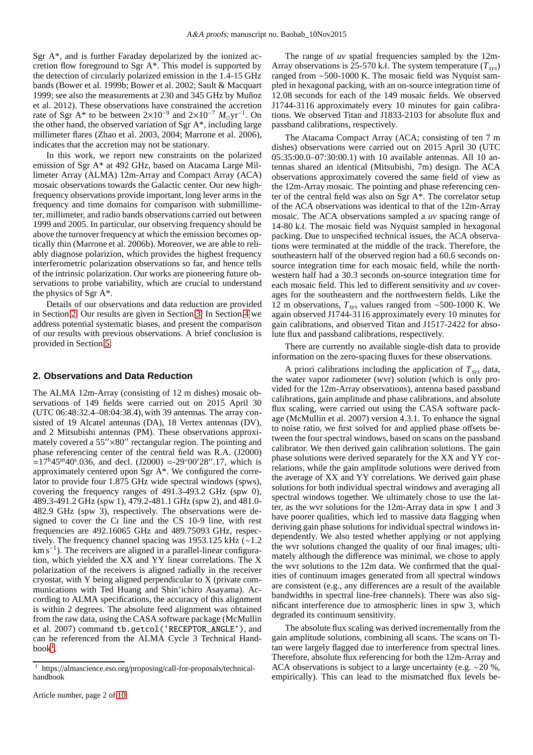Sgr A\*, and is further Faraday depolarized by the ionized accretion flow foreground to Sgr A\*. This model is supported by the detection of circularly polarized emission in the 1.4-15 GHz bands (Bower et al. 1999b; Bower et al. 2002; Sault & Macquart 1999; see also the measurements at 230 and 345 GHz by Muñoz et al. 2012). These observations have constrained the accretion rate of Sgr A<sup>\*</sup> to be between  $2 \times 10^{-9}$  and  $2 \times 10^{-7}$   $M_{\odot}$ yr<sup>-1</sup>. On the other hand, the observed variation of Sgr A\*, including large millimeter flares (Zhao et al. 2003, 2004; Marrone et al. 2006), indicates that the accretion may not be stationary.

In this work, we report new constraints on the polarized emission of Sgr A\* at 492 GHz, based on Atacama Large Millimeter Array (ALMA) 12m-Array and Compact Array (ACA) mosaic observations towards the Galactic center. Our new highfrequency observations provide important, long lever arms in the frequency and time domains for comparison with submillimeter, millimeter, and radio bands observations carried out between 1999 and 2005. In particular, our observing frequency should be above the turnover frequency at which the emission becomes optically thin (Marrone et al. 2006b). Moreover, we are able to reliably diagnose polarizion, which provides the highest frequency interferometric polarization observations so far, and hence tells of the intrinsic polarization. Our works are pioneering future observations to probe variability, which are crucial to understand the physics of Sgr A\*.

Details of our observations and data reduction are provided in Section [2.](#page-2-0) Our results are given in Section [3.](#page-3-0) In Section [4](#page-6-0) we address potential systematic biases, and present the comparison of our results with previous observations. A brief conclusion is provided in Section [5.](#page-8-0)

#### <span id="page-2-0"></span>**2. Observations and Data Reduction**

The ALMA 12m-Array (consisting of 12 m dishes) mosaic observations of 149 fields were carried out on 2015 April 30 (UTC 06:48:32.4–08:04:38.4), with 39 antennas. The array consisted of 19 Alcatel antennas (DA), 18 Vertex antennas (DV), and 2 Mitsubishi antennas (PM). These observations approximately covered a 55"×80" rectangular region. The pointing and phase referencing center of the central field was R.A. (J2000)  $=17^{\text{h}}45^{\text{m}}40^{\text{s}}.036$ , and decl. (J2000) =-29°00′28″.17, which is approximately centered upon Sgr A\*. We configured the correlator to provide four 1.875 GHz wide spectral windows (spws), covering the frequency ranges of 491.3-493.2 GHz (spw 0), 489.3-491.2 GHz (spw 1), 479.2-481.1 GHz (spw 2), and 481.0- 482.9 GHz (spw 3), respectively. The observations were designed to cover the Ci line and the CS 10-9 line, with rest frequencies are 492.16065 GHz and 489.75093 GHz, respectively. The frequency channel spacing was 1953.125 kHz (∼1.2 km s<sup>-1</sup>). The receivers are aligned in a parallel-linear configuration, which yielded the XX and YY linear correlations. The X polarization of the receivers is aligned radially in the receiver cryostat, with Y being aligned perpendicular to X (private communications with Ted Huang and Shin'ichiro Asayama). According to ALMA specifications, the accuracy of this alignment is within 2 degrees. The absolute feed alignment was obtained from the raw data, using the CASA software package (McMullin et al. 2007) command tb.getcol('RECEPTOR\_ANGLE'), and can be referenced from the ALMA Cycle 3 Technical Hand- $book<sup>1</sup>$  $book<sup>1</sup>$  $book<sup>1</sup>$ .

The range of *uv* spatial frequencies sampled by the 12m-Array observations is 25-570 kλ. The system temperature (*Tsys*) ranged from ∼500-1000 K. The mosaic field was Nyquist sampled in hexagonal packing, with an on-source integration time of 12.08 seconds for each of the 149 mosaic fields. We observed J1744-3116 approximately every 10 minutes for gain calibrations. We observed Titan and J1833-2103 for absolute flux and passband calibrations, respectively.

The Atacama Compact Array (ACA; consisting of ten 7 m dishes) observations were carried out on 2015 April 30 (UTC 05:35:00.0–07:30:00.1) with 10 available antennas. All 10 antennas shared an identical (Mitsubishi, 7m) design. The ACA observations approximately covered the same field of view as the 12m-Array mosaic. The pointing and phase referencing center of the central field was also on Sgr A\*. The correlator setup of the ACA observations was identical to that of the 12m-Array mosaic. The ACA observations sampled a *uv* spacing range of 14-80 kλ. The mosaic field was Nyquist sampled in hexagonal packing. Due to unspecified technical issues, the ACA observations were terminated at the middle of the track. Therefore, the southeastern half of the observed region had a 60.6 seconds onsource integration time for each mosaic field, while the northwestern half had a 30.3 seconds on-source integration time for each mosaic field. This led to different sensitivity and *uv* coverages for the southeastern and the northwestern fields. Like the 12 m observations, *Tsys* values ranged from ∼500-1000 K. We again observed J1744-3116 approximately every 10 minutes for gain calibrations, and observed Titan and J1517-2422 for absolute flux and passband calibrations, respectively.

There are currently no available single-dish data to provide information on the zero-spacing fluxes for these observations.

A priori calibrations including the application of  $T_{sys}$  data, the water vapor radiometer (wvr) solution (which is only provided for the 12m-Array observations), antenna based passband calibrations, gain amplitude and phase calibrations, and absolute flux scaling, were carried out using the CASA software package (McMullin et al. 2007) version 4.3.1. To enhance the signal to noise ratio, we first solved for and applied phase offsets between the four spectral windows, based on scans on the passband calibrator. We then derived gain calibration solutions. The gain phase solutions were derived separately for the XX and YY correlations, while the gain amplitude solutions were derived from the average of XX and YY correlations. We derived gain phase solutions for both individual spectral windows and averaging all spectral windows together. We ultimately chose to use the latter, as the wvr solutions for the 12m-Array data in spw 1 and 3 have poorer qualities, which led to massive data flagging when deriving gain phase solutions for individual spectral windows independently. We also tested whether applying or not applying the wvr solutions changed the quality of our final images; ultimately although the difference was minimal, we chose to apply the wvr solutions to the 12m data. We confirmed that the qualities of continuum images generated from all spectral windows are consistent (e.g., any differences are a result of the available bandwidths in spectral line-free channels). There was also significant interference due to atmospheric lines in spw 3, which degraded its continuum sensitivity.

The absolute flux scaling was derived incrementally from the gain amplitude solutions, combining all scans. The scans on Titan were largely flagged due to interference from spectral lines. Therefore, absolute flux referencing for both the 12m-Array and ACA observations is subject to a large uncertainty (e.g. ∼20 %, empirically). This can lead to the mismatched flux levels be-

<span id="page-2-1"></span><sup>1</sup> https://almascience.eso.org/proposing/call-for-proposals/technicalhandbook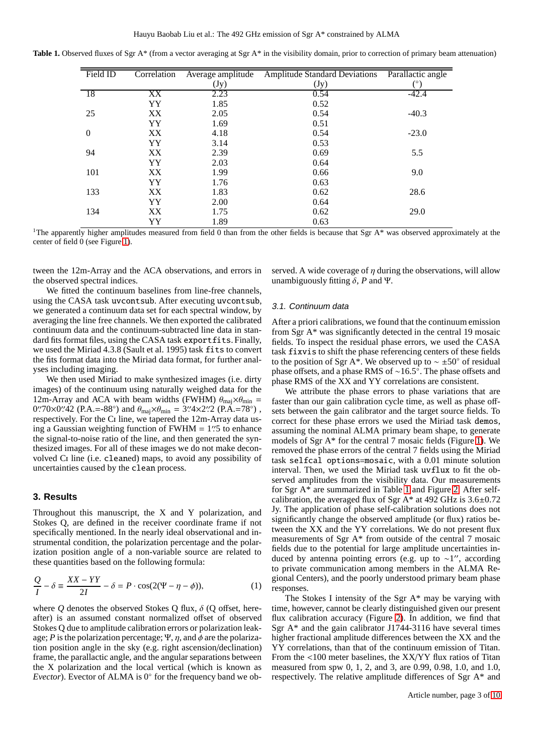Table 1. Observed fluxes of Sgr A\* (from a vector averaging at Sgr A\* in the visibility domain, prior to correction of primary beam attenuation)

<span id="page-3-1"></span>

| Field ID         | Correlation | Average amplitude | <b>Amplitude Standard Deviations</b> | Parallactic angle |
|------------------|-------------|-------------------|--------------------------------------|-------------------|
|                  |             | (Jy)              | (Jy)                                 | (°)               |
| -18              | XX          | 2.23              | 0.54                                 | $-42.4$           |
|                  | YY          | 1.85              | 0.52                                 |                   |
| 25               | XX          | 2.05              | 0.54                                 | $-40.3$           |
|                  | YY          | 1.69              | 0.51                                 |                   |
| $\boldsymbol{0}$ | XX          | 4.18              | 0.54                                 | $-23.0$           |
|                  | YY          | 3.14              | 0.53                                 |                   |
| 94               | XX          | 2.39              | 0.69                                 | 5.5               |
|                  | YY          | 2.03              | 0.64                                 |                   |
| 101              | XX          | 1.99              | 0.66                                 | 9.0               |
|                  | <b>YY</b>   | 1.76              | 0.63                                 |                   |
| 133              | XX          | 1.83              | 0.62                                 | 28.6              |
|                  | YY          | 2.00              | 0.64                                 |                   |
| 134              | XX          | 1.75              | 0.62                                 | 29.0              |
|                  | YY          | 1.89              | 0.63                                 |                   |

<sup>1</sup>The apparently higher amplitudes measured from field 0 than from the other fields is because that Sgr A\* was observed approximately at the center of field 0 (see Figure [1\)](#page-4-0).

tween the 12m-Array and the ACA observations, and errors in the observed spectral indices.

We fitted the continuum baselines from line-free channels, using the CASA task uvcontsub. After executing uvcontsub, we generated a continuum data set for each spectral window, by averaging the line free channels. We then exported the calibrated continuum data and the continuum-subtracted line data in standard fits format files, using the CASA task exportfits. Finally, we used the Miriad 4.3.8 (Sault et al. 1995) task fits to convert the fits format data into the Miriad data format, for further analyses including imaging.

We then used Miriad to make synthesized images (i.e. dirty images) of the continuum using naturally weighed data for the 12m-Array and ACA with beam widths (FWHM)  $\theta_{\text{mai}} \times \theta_{\text{min}} =$ 0''.70×0''.42 (P.A.=-88°) and  $\theta_{\text{maj}} \times \theta_{\text{min}} = 3$ ''.4×2''.2 (P.A.=78°), respectively. For the Ci line, we tapered the 12m-Array data using a Gaussian weighting function of  $FWHM = 1\text{\textdegree}75$  to enhance the signal-to-noise ratio of the line, and then generated the synthesized images. For all of these images we do not make deconvolved Ci line (i.e. cleaned) maps, to avoid any possibility of uncertainties caused by the clean process.

# <span id="page-3-0"></span>**3. Results**

Throughout this manuscript, the X and Y polarization, and Stokes Q, are defined in the receiver coordinate frame if not specifically mentioned. In the nearly ideal observational and instrumental condition, the polarization percentage and the polarization position angle of a non-variable source are related to these quantities based on the following formula:

$$
\frac{Q}{I} - \delta \equiv \frac{XX - YY}{2I} - \delta = P \cdot \cos(2(\Psi - \eta - \phi)),\tag{1}
$$

where  $Q$  denotes the observed Stokes Q flux,  $\delta$  (Q offset, hereafter) is an assumed constant normalized offset of observed Stokes Q due to amplitude calibration errors or polarization leakage; *P* is the polarization percentage;  $\Psi$ , *n*, and  $\phi$  are the polarization position angle in the sky (e.g. right ascension/declination) frame, the parallactic angle, and the angular separations between the X polarization and the local vertical (which is known as *Evector*). Evector of ALMA is 0° for the frequency band we observed. A wide coverage of  $\eta$  during the observations, will allow unambiguously fitting  $\delta$ , *P* and Ψ.

#### 3.1. Continuum data

After a priori calibrations, we found that the continuum emission from Sgr A\* was significantly detected in the central 19 mosaic fields. To inspect the residual phase errors, we used the CASA task fixvis to shift the phase referencing centers of these fields to the position of Sgr A\*. We observed up to  $\sim \pm 50^{\circ}$  of residual phase offsets, and a phase RMS of ∼16.5°. The phase offsets and phase RMS of the XX and YY correlations are consistent.

We attribute the phase errors to phase variations that are faster than our gain calibration cycle time, as well as phase offsets between the gain calibrator and the target source fields. To correct for these phase errors we used the Miriad task demos, assuming the nominal ALMA primary beam shape, to generate models of Sgr A\* for the central 7 mosaic fields (Figure [1\)](#page-4-0). We removed the phase errors of the central 7 fields using the Miriad task selfcal options=mosaic, with a 0.01 minute solution interval. Then, we used the Miriad task uvflux to fit the observed amplitudes from the visibility data. Our measurements for Sgr A\* are summarized in Table [1](#page-3-1) and Figure [2.](#page-6-1) After selfcalibration, the averaged flux of Sgr A\* at 492 GHz is  $3.6\pm0.72$ Jy. The application of phase self-calibration solutions does not significantly change the observed amplitude (or flux) ratios between the XX and the YY correlations. We do not present flux measurements of Sgr A\* from outside of the central 7 mosaic fields due to the potential for large amplitude uncertainties induced by antenna pointing errors (e.g. up to ∼1 ′′, according to private communication among members in the ALMA Regional Centers), and the poorly understood primary beam phase responses.

The Stokes I intensity of the Sgr  $A^*$  may be varying with time, however, cannot be clearly distinguished given our present flux calibration accuracy (Figure [2\)](#page-6-1). In addition, we find that Sgr A\* and the gain calibrator J1744-3116 have several times higher fractional amplitude differences between the XX and the YY correlations, than that of the continuum emission of Titan. From the <100 meter baselines, the XX/YY flux ratios of Titan measured from spw 0, 1, 2, and 3, are 0.99, 0.98, 1.0, and 1.0, respectively. The relative amplitude differences of Sgr A\* and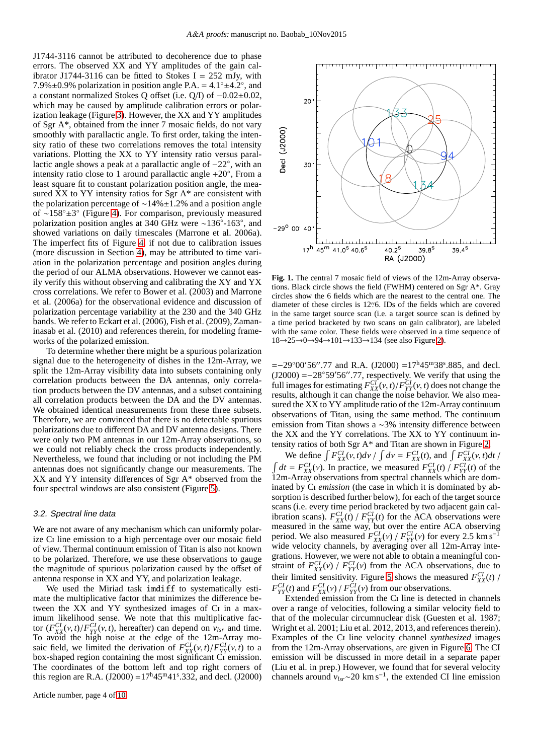J1744-3116 cannot be attributed to decoherence due to phase errors. The observed XX and YY amplitudes of the gain calibrator J1744-3116 can be fitted to Stokes I =  $252$  mJy, with 7.9% $\pm$ 0.9% polarization in position angle P.A. = 4.1° $\pm$ 4.2°, and a constant normalized Stokes Q offset (i.e. Q/I) of −0.02±0.02, which may be caused by amplitude calibration errors or polarization leakage (Figure [3\)](#page-5-0). However, the XX and YY amplitudes of Sgr A\*, obtained from the inner 7 mosaic fields, do not vary smoothly with parallactic angle. To first order, taking the intensity ratio of these two correlations removes the total intensity variations. Plotting the XX to YY intensity ratio versus parallactic angle shows a peak at a parallactic angle of −22◦ , with an intensity ratio close to 1 around parallactic angle +20◦ , From a least square fit to constant polarization position angle, the measured XX to YY intensity ratios for Sgr A\* are consistent with the polarization percentage of ∼14%±1.2% and a position angle of ∼158◦±3 ◦ (Figure [4\)](#page-6-2). For comparison, previously measured polarization position angles at 340 GHz were ~136°-163°, and showed variations on daily timescales (Marrone et al. 2006a). The imperfect fits of Figure [4,](#page-6-2) if not due to calibration issues (more discussion in Section [4\)](#page-6-0), may be attributed to time variation in the polarization percentage and position angles during the period of our ALMA observations. However we cannot easily verify this without observing and calibrating the XY and YX cross correlations. We refer to Bower et al. (2003) and Marrone et al. (2006a) for the observational evidence and discussion of polarization percentage variability at the 230 and the 340 GHz bands. We refer to Eckart et al. (2006), Fish et al. (2009), Zamaninasab et al. (2010) and references therein, for modeling frameworks of the polarized emission.

To determine whether there might be a spurious polarization signal due to the heterogeneity of dishes in the 12m-Array, we split the 12m-Array visibility data into subsets containing only correlation products between the DA antennas, only correlation products between the DV antennas, and a subset containing all correlation products between the DA and the DV antennas. We obtained identical measurements from these three subsets. Therefore, we are convinced that there is no detectable spurious polarizations due to different DA and DV antenna designs. There were only two PM antennas in our 12m-Array observations, so we could not reliably check the cross products independently. Nevertheless, we found that including or not including the PM antennas does not significantly change our measurements. The XX and YY intensity differences of Sgr A\* observed from the four spectral windows are also consistent (Figure [5\)](#page-7-0).

#### <span id="page-4-1"></span>3.2. Spectral line data

We are not aware of any mechanism which can uniformly polarize Ci line emission to a high percentage over our mosaic field of view. Thermal continuum emission of Titan is also not known to be polarized. Therefore, we use these observations to gauge the magnitude of spurious polarization caused by the offset of antenna response in XX and YY, and polarization leakage.

We used the Miriad task imdiff to systematically estimate the multiplicative factor that minimizes the difference between the XX and YY synthesized images of C<sub>I</sub> in a maximum likelihood sense. We note that this multiplicative factor  $(F_{XX}^{CI}(v, t)/F_{YY}^{CI}(v, t))$ , hereafter) can depend on  $v_{lsr}$  and time. To avoid the high noise at the edge of the 12m-Array mosaic field, we limited the derivation of  $F_{XX}^{Cl}(v, t)/F_{YY}^{Cl}(v, t)$  to a box-shaped region containing the most significant  $\overrightarrow{C_1}$  emission. The coordinates of the bottom left and top right corners of this region are R.A. (J2000) =  $17^h 45^m 41^s$ .332, and decl. (J2000)



<span id="page-4-0"></span>**Fig. 1.** The central 7 mosaic field of views of the 12m-Array observations. Black circle shows the field (FWHM) centered on Sgr A\*. Gray circles show the 6 fields which are the nearest to the central one. The diameter of these circles is 12′′ .6. IDs of the fields which are covered in the same target source scan (i.e. a target source scan is defined by a time period bracketed by two scans on gain calibrator), are labeled with the same color. These fields were observed in a time sequence of 18→25→0→94→101→133→134 (see also Figure [2\)](#page-6-1).

 $=-29^{\circ}00'56''.77$  and R.A. (J2000) =17<sup>h</sup>45<sup>m</sup>38°.885, and decl.  $(J2000) = -28°59'56''.77$ , respectively. We verify that using the full images for estimating  $F_{XX}^{CI}(v, t)/F_{YY}^{CI}(v, t)$  does not change the results, although it can change the noise behavior. We also measured the XX to YY amplitude ratio of the 12m-Array continuum observations of Titan, using the same method. The continuum emission from Titan shows a ∼3% intensity difference between the XX and the YY correlations. The XX to YY continuum intensity ratios of both Sgr A\* and Titan are shown in Figure [2.](#page-6-1)

We define  $\int F_{XX}^{CI}(v, t)dv / \int dv = F_{XX}^{CI}(t)$ , and  $\int F_{XX}^{CI}(v, t)dt / \int dv$  $\int dt = F_{XX}^{CI}(v)$ . In practice, we measured  $F_{XX}^{CI}(t) / F_{YY}^{CI}(t)$  of the 12m-Array observations from spectral channels which are dominated by C<sub>I</sub> emission (the case in which it is dominated by absorption is described further below), for each of the target source scans (i.e. every time period bracketed by two adjacent gain calibration scans).  $F_{XX}^{CI}(t) / F_{YY}^{CI}(t)$  for the ACA observations were measured in the same way, but over the entire ACA observing period. We also measured  $F_{XX}^{CI}(v) / F_{YY}^{CI}(v)$  for every 2.5 km s<sup>-1</sup> wide velocity channels, by averaging over all 12m-Array integrations. However, we were not able to obtain a meaningful constraint of  $F_{XX}^{CI}(v) / F_{YY}^{CI}(v)$  from the ACA observations, due to their limited sensitivity. Figure [5](#page-7-0) shows the measured  $F_{XX}^{Cl}(t)$  /  $F_{YY}^{CI}(t)$  and  $F_{XX}^{CI}(v) / F_{YY}^{CI}(v)$  from our observations.

Extended emission from the Ci line is detected in channels over a range of velocities, following a similar velocity field to that of the molecular circumnuclear disk (Guesten et al. 1987; Wright et al. 2001; Liu et al. 2012, 2013, and references therein). Examples of the Ci line velocity channel *synthesized* images from the 12m-Array observations, are given in Figure [6.](#page-10-0) The CI emission will be discussed in more detail in a separate paper (Liu et al. in prep.) However, we found that for several velocity channels around  $v_{lsr}$ ~20 km s<sup>-1</sup>, the extended CI line emission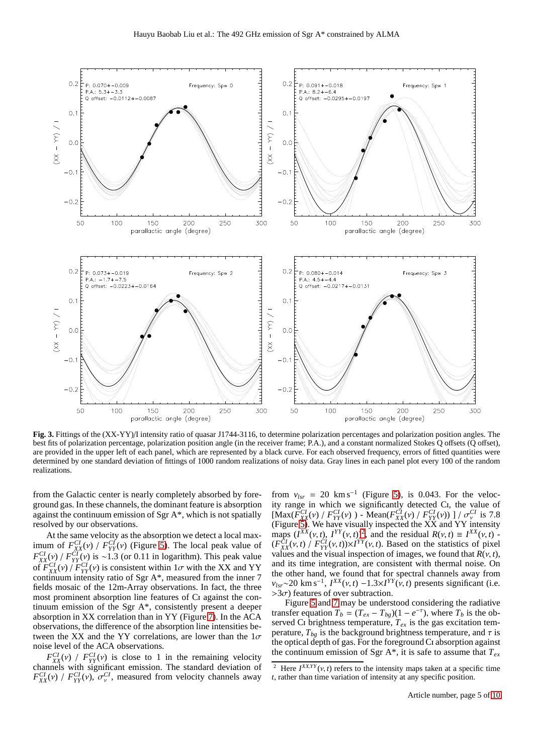

<span id="page-5-0"></span>**Fig. 3.** Fittings of the (XX-YY)/I intensity ratio of quasar J1744-3116, to determine polarization percentages and polarization position angles. The best fits of polarization percentage, polarization position angle (in the receiver frame; P.A.), and a constant normalized Stokes Q offsets (Q offset), are provided in the upper left of each panel, which are represented by a black curve. For each observed frequency, errors of fitted quantities were determined by one standard deviation of fittings of 1000 random realizations of noisy data. Gray lines in each panel plot every 100 of the random realizations.

from the Galactic center is nearly completely absorbed by foreground gas. In these channels, the dominant feature is absorption against the continuum emission of Sgr A\*, which is not spatially resolved by our observations.

At the same velocity as the absorption we detect a local maximum of  $F_{XX}^{CI}(v)$  /  $F_{YY}^{CI}(v)$  (Figure [5\)](#page-7-0). The local peak value of  $F_{XX}^{CI}(v)$  /  $F_{YY}^{CI}(v)$  is ~1.3 (or 0.11 in logarithm). This peak value of  $F_{XX}^{CI}(v)$  /  $F_{YY}^{CI}(v)$  is consistent within  $1\sigma$  with the XX and YY continuum intensity ratio of Sgr A\*, measured from the inner 7 fields mosaic of the 12m-Array observations. In fact, the three most prominent absorption line features of Ci against the continuum emission of the Sgr A\*, consistently present a deeper absorption in XX correlation than in YY (Figure [7\)](#page-7-1). In the ACA observations, the difference of the absorption line intensities between the XX and the YY correlations, are lower than the  $1\sigma$ noise level of the ACA observations.

 $F_{XX}^{CI}(v)$  /  $F_{YY}^{CI}(v)$  is close to 1 in the remaining velocity channels with significant emission. The standard deviation of  $F_{XX}^{CI}(v)$  /  $F_{YY}^{CI}(v)$ ,  $\sigma_{v}^{CI}$ , measured from velocity channels away

from  $v_{lsr} = 20 \text{ km s}^{-1}$  (Figure [5\)](#page-7-0), is 0.043. For the velocity range in which we significantly detected Ci, the value of  $\left[\frac{\text{Max}(F_{XX}^{CI}(v) / F_{YY}^{CI}(v)) - \text{Mean}(F_{XX}^{CI}(v) / F_{YY}^{CI}(v))\right]/\sigma_{V}^{CI}}{V}$  is 7.8 (Figure [5\)](#page-7-0). We have visually inspected the  $\overline{XX}$  and  $\overline{YY}$  intensity maps  $(I^{XX}(v, t), I^{YY}(v, t))^2$  $(I^{XX}(v, t), I^{YY}(v, t))^2$ , and the residual  $R(v, t) \equiv I^{XX}(v, t)$  - $(F_{XX}^{\tilde{C}I}(v, t) / F_{YY}^{\tilde{C}I}(v, t)) \times I^{YY}(v, t)$ . Based on the statistics of pixel values and the visual inspection of images, we found that  $R(v, t)$ , and its time integration, are consistent with thermal noise. On the other hand, we found that for spectral channels away from  $v_{lsr}$ ~20 km s<sup>-1</sup>,  $I^{XX}(v, t)$  −1.3×*I<sup>YY</sup>*( $\dot{v}$ , *t*) presents significant (i.e.  $>3\sigma$ ) features of over subtraction.

Figure [5](#page-7-0) and [7](#page-7-1) may be understood considering the radiative transfer equation  $T_b = (T_{ex} - T_{bg})(1 - e^{-\tau})$ , where  $T_b$  is the observed Ci brightness temperature,  $T_{ex}$  is the gas excitation temperature,  $T_{bg}$  is the background brightness temperature, and  $\tau$  is the optical depth of gas. For the foreground Ci absorption against the continuum emission of Sgr A<sup>\*</sup>, it is safe to assume that  $T_{ex}$ 

<span id="page-5-1"></span><sup>&</sup>lt;sup>2</sup> Here  $I^{XX,YY}$  (v, t) refers to the intensity maps taken at a specific time *t*, rather than time variation of intensity at any specific position.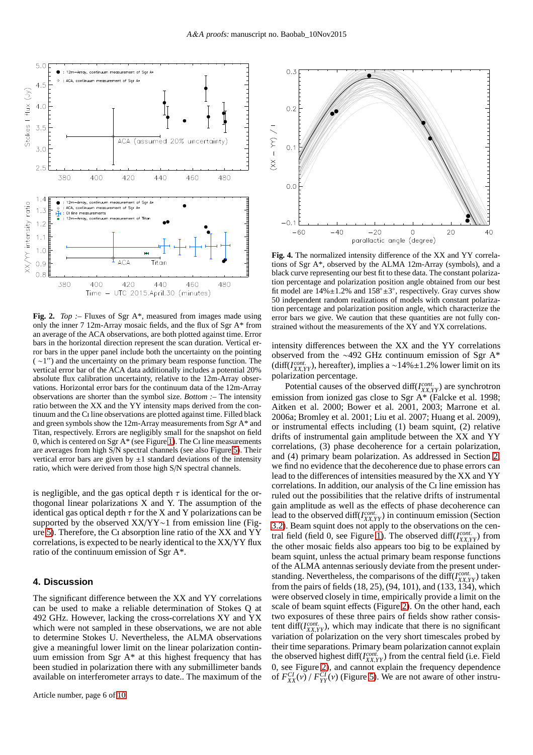

<span id="page-6-1"></span>**Fig. 2.** *Top* :– Fluxes of Sgr A\*, measured from images made using only the inner 7 12m-Array mosaic fields, and the flux of Sgr A\* from an average of the ACA observations, are both plotted against time. Error bars in the horizontal direction represent the scan duration. Vertical error bars in the upper panel include both the uncertainty on the pointing ( ∼1 ′′) and the uncertainty on the primary beam response function. The vertical error bar of the ACA data additionally includes a potential 20% absolute flux calibration uncertainty, relative to the 12m-Array observations. Horizontal error bars for the continuum data of the 12m-Array observations are shorter than the symbol size. *Bottom :–* The intensity ratio between the XX and the YY intensity maps derived from the continuum and the Ci line observations are plotted against time. Filled black and green symbols show the 12m-Array measurements from Sgr A\* and Titan, respectively. Errors are negligibly small for the snapshot on field 0, which is centered on Sgr  $A^*$  (see Figure [1\)](#page-4-0). The C<sub>I</sub> line measurements are averages from high S/N spectral channels (see also Figure [5\)](#page-7-0). Their vertical error bars are given by  $\pm 1$  standard deviations of the intensity ratio, which were derived from those high S/N spectral channels.

is negligible, and the gas optical depth  $\tau$  is identical for the orthogonal linear polarizations X and Y. The assumption of the identical gas optical depth  $\tau$  for the X and Y polarizations can be supported by the observed XX/YY∼1 from emission line (Figure [5\)](#page-7-0). Therefore, the Ci absorption line ratio of the XX and YY correlations, is expected to be nearly identical to the XX/YY flux ratio of the continuum emission of Sgr A\*.

#### <span id="page-6-0"></span>**4. Discussion**

The significant difference between the XX and YY correlations can be used to make a reliable determination of Stokes Q at 492 GHz. However, lacking the cross-correlations XY and YX which were not sampled in these observations, we are not able to determine Stokes U. Nevertheless, the ALMA observations give a meaningful lower limit on the linear polarization continuum emission from Sgr A\* at this highest frequency that has been studied in polarization there with any submillimeter bands available on interferometer arrays to date.. The maximum of the



<span id="page-6-2"></span>**Fig. 4.** The normalized intensity difference of the XX and YY correlations of Sgr A\*, observed by the ALMA 12m-Array (symbols), and a black curve representing our best fit to these data. The constant polarization percentage and polarization position angle obtained from our best fit model are  $14\% \pm 1.2\%$  and  $158^\circ \pm 3^\circ$ , respectively. Gray curves show 50 independent random realizations of models with constant polarization percentage and polarization position angle, which characterize the error bars we give. We caution that these quantities are not fully constrained without the measurements of the XY and YX correlations.

intensity differences between the XX and the YY correlations observed from the ∼492 GHz continuum emission of Sgr A\* (diff( $I_{XX,YY}^{cont}$ ), hereafter), implies a ~14%±1.2% lower limit on its polarization percentage.

Potential causes of the observed diff(*I*<sub>XX,*YY*</sub>) are synchrotron emission from ionized gas close to Sgr A<sup>\*</sup> (Falcke et al. 1998; Aitken et al. 2000; Bower et al. 2001, 2003; Marrone et al. 2006a; Bromley et al. 2001; Liu et al. 2007; Huang et al. 2009), or instrumental effects including (1) beam squint, (2) relative drifts of instrumental gain amplitude between the XX and YY correlations, (3) phase decoherence for a certain polarization, and (4) primary beam polarization. As addressed in Section [2,](#page-2-0) we find no evidence that the decoherence due to phase errors can lead to the differences of intensities measured by the XX and YY correlations. In addition, our analysis of the Ci line emission has ruled out the possibilities that the relative drifts of instrumental gain amplitude as well as the effects of phase decoherence can lead to the observed diff( $I_{XX,YY}^{cont}$ ) in continuum emission (Section [3.2\)](#page-4-1). Beam squint does not apply to the observations on the cen-tral field (field 0, see Figure [1\)](#page-4-0). The observed diff( $I_{XX,YY}^{cont}$ ) from the other mosaic fields also appears too big to be explained by beam squint, unless the actual primary beam response functions of the ALMA antennas seriously deviate from the present understanding. Nevertheless, the comparisons of the diff(*I*<sub>XX,*YY*</sub>) taken from the pairs of fields (18, 25), (94, 101), and (133, 134), which were observed closely in time, empirically provide a limit on the scale of beam squint effects (Figure [2\)](#page-6-1). On the other hand, each two exposures of these three pairs of fields show rather consistent diff( $I_{XX,YY}^{cont.}$ ), which may indicate that there is no significant variation of polarization on the very short timescales probed by their time separations. Primary beam polarization cannot explain the observed highest diff( $I_{XX,YY}^{cont.}$ ) from the central field (i.e. Field 0, see Figure [2\)](#page-6-1), and cannot explain the frequency dependence of  $F_{XX}^{CI}(v)$  /  $F_{YY}^{CI}(v)$  (Figure [5\)](#page-7-0). We are not aware of other instru-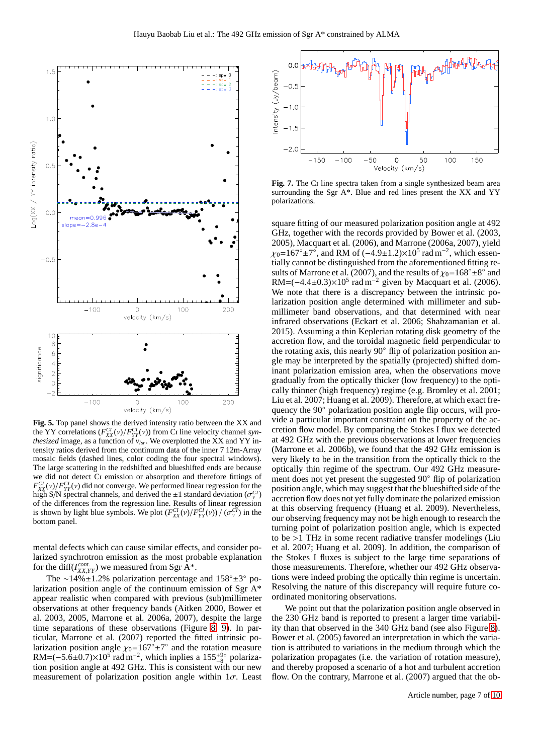

<span id="page-7-0"></span>**Fig. 5.** Top panel shows the derived intensity ratio between the XX and the YY correlations  $(F_{XX}^{CI}(v)/F_{YY}^{CI}(v))$  from C<sub>I</sub> line velocity channel *synthesized* image, as a function of  $v_{lsr}$ . We overplotted the XX and YY intensity ratios derived from the continuum data of the inner 7 12m-Array mosaic fields (dashed lines, color coding the four spectral windows). The large scattering in the redshifted and blueshifted ends are because we did not detect Ci emission or absorption and therefore fittings of  $F_{XX}^{CI}(v)/F_{YY}^{CI}(v)$  did not converge. We performed linear regression for the high S/N spectral channels, and derived the  $\pm 1$  standard deviation ( $\sigma_{v}^{CI}$ ) of the differences from the regression line. Results of linear regression is shown by light blue symbols. We plot  $(F_{XX}^{CI}(v)/F_{YY}^{CI}(v)) / (\sigma_v^{CI})$  in the bottom panel.

mental defects which can cause similar effects, and consider polarized synchrotron emission as the most probable explanation for the diff( $I_{XX,YY}^{cont.}$ ) we measured from Sgr  $\overline{A}^*$ .

The ∼14%±1.2% polarization percentage and 158◦±3 ◦ polarization position angle of the continuum emission of Sgr A\* appear realistic when compared with previous (sub)millimeter observations at other frequency bands (Aitken 2000, Bower et al. 2003, 2005, Marrone et al. 2006a, 2007), despite the large time separations of these observations (Figure [8,](#page-8-1) [9\)](#page-9-0). In particular, Marrone et al. (2007) reported the fitted intrinsic polarization position angle  $\chi_0 = 167^\circ \pm 7^\circ$  and the rotation measure RM= $(-5.6\pm0.7)\times10^5$  rad m<sup>-2</sup>, which inplies a  $155^{+9\circ}_{-8}$  polarization position angle at 492 GHz. This is consistent with our new measurement of polarization position angle within  $1\sigma$ . Least



<span id="page-7-1"></span>Fig. 7. The C<sub>I</sub> line spectra taken from a single synthesized beam area surrounding the Sgr A\*. Blue and red lines present the XX and YY polarizations.

square fitting of our measured polarization position angle at 492 GHz, together with the records provided by Bower et al. (2003, 2005), Macquart et al. (2006), and Marrone (2006a, 2007), yield  $\chi_0$ =167°±7°, and RM of (-4.9±1.2)×10<sup>5</sup> rad m<sup>-2</sup>, which essentially cannot be distinguished from the aforementioned fitting results of Marrone et al. (2007), and the results of  $\chi_0 = 168^\circ \pm 8^\circ$  and RM= $(-4.4\pm0.3)\times10^5$  rad m<sup>-2</sup> given by Macquart et al. (2006). We note that there is a discrepancy between the intrinsic polarization position angle determined with millimeter and submillimeter band observations, and that determined with near infrared observations (Eckart et al. 2006; Shahzamanian et al. 2015). Assuming a thin Keplerian rotating disk geometry of the accretion flow, and the toroidal magnetic field perpendicular to the rotating axis, this nearly 90◦ flip of polarization position angle may be interpreted by the spatially (projected) shifted dominant polarization emission area, when the observations move gradually from the optically thicker (low frequency) to the optically thinner (high frequency) regime (e.g. Bromley et al. 2001; Liu et al. 2007; Huang et al. 2009). Therefore, at which exact frequency the 90◦ polarization position angle flip occurs, will provide a particular important constraint on the property of the accretion flow model. By comparing the Stokes I flux we detected at 492 GHz with the previous observations at lower frequencies (Marrone et al. 2006b), we found that the 492 GHz emission is very likely to be in the transition from the optically thick to the optically thin regime of the spectrum. Our 492 GHz measurement does not yet present the suggested 90◦ flip of polarization position angle, which may suggest that the blueshifted side of the accretion flow does not yet fully dominate the polarized emission at this observing frequency (Huang et al. 2009). Nevertheless, our observing frequency may not be high enough to research the turning point of polarization position angle, which is expected to be >1 THz in some recent radiative transfer modelings (Liu et al. 2007; Huang et al. 2009). In addition, the comparison of the Stokes I fluxes is subject to the large time separations of those measurements. Therefore, whether our 492 GHz observations were indeed probing the optically thin regime is uncertain. Resolving the nature of this discrepancy will require future coordinated monitoring observations.

We point out that the polarization position angle observed in the 230 GHz band is reported to present a larger time variability than that observed in the 340 GHz band (see also Figure [8\)](#page-8-1). Bower et al. (2005) favored an interpretation in which the variation is attributed to variations in the medium through which the polarization propagates (i.e. the variation of rotation measure), and thereby proposed a scenario of a hot and turbulent accretion flow. On the contrary, Marrone et al. (2007) argued that the ob-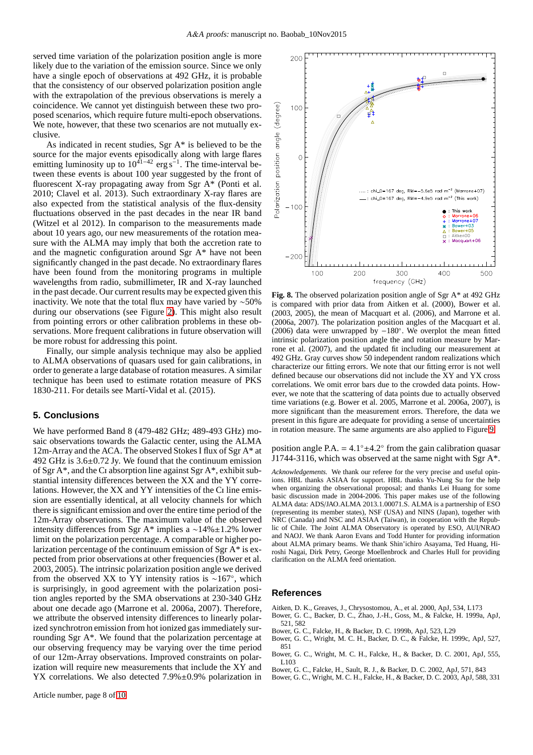served time variation of the polarization position angle is more likely due to the variation of the emission source. Since we only have a single epoch of observations at 492 GHz, it is probable that the consistency of our observed polarization position angle with the extrapolation of the previous observations is merely a coincidence. We cannot yet distinguish between these two proposed scenarios, which require future multi-epoch observations. We note, however, that these two scenarios are not mutually exclusive.

As indicated in recent studies, Sgr A\* is believed to be the source for the major events episodically along with large flares emitting luminosity up to  $10^{41-42}$  erg s<sup>-1</sup>. The time-interval between these events is about 100 year suggested by the front of fluorescent X-ray propagating away from Sgr A\* (Ponti et al. 2010; Clavel et al. 2013). Such extraordinary X-ray flares are also expected from the statistical analysis of the flux-density fluctuations observed in the past decades in the near IR band (Witzel et al 2012). In comparison to the measurements made about 10 years ago, our new measurements of the rotation measure with the ALMA may imply that both the accretion rate to and the magnetic configuration around Sgr A\* have not been significantly changed in the past decade. No extraordinary flares have been found from the monitoring programs in multiple wavelengths from radio, submillimeter, IR and X-ray launched in the past decade. Our current results may be expected given this inactivity. We note that the total flux may have varied by ∼50% during our observations (see Figure [2\)](#page-6-1). This might also result from pointing errors or other calibration problems in these observations. More frequent calibrations in future observation will be more robust for addressing this point.

Finally, our simple analysis technique may also be applied to ALMA observations of quasars used for gain calibrations, in order to generate a large database of rotation measures. A similar technique has been used to estimate rotation measure of PKS 1830-211. For details see Martí-Vidal et al. (2015).

## <span id="page-8-0"></span>**5. Conclusions**

We have performed Band 8 (479-482 GHz; 489-493 GHz) mosaic observations towards the Galactic center, using the ALMA 12m-Array and the ACA. The observed Stokes I flux of Sgr A\* at 492 GHz is 3.6±0.72 Jy. We found that the continuum emission of Sgr A\*, and the Ci absorption line against Sgr A\*, exhibit substantial intensity differences between the XX and the YY correlations. However, the XX and YY intensities of the Ci line emission are essentially identical, at all velocity channels for which there is significant emission and over the entire time period of the 12m-Array observations. The maximum value of the observed intensity differences from Sgr A\* implies a ∼14%±1.2% lower limit on the polarization percentage. A comparable or higher polarization percentage of the continuum emission of Sgr A\* is expected from prior observations at other frequencies (Bower et al. 2003, 2005). The intrinsic polarization position angle we derived from the observed XX to YY intensity ratios is ∼167◦ , which is surprisingly, in good agreement with the polarization position angles reported by the SMA observations at 230-340 GHz about one decade ago (Marrone et al. 2006a, 2007). Therefore, we attribute the observed intensity differences to linearly polarized synchrotron emission from hot ionized gas immediately surrounding Sgr A\*. We found that the polarization percentage at our observing frequency may be varying over the time period of our 12m-Array observations. Improved constraints on polarization will require new measurements that include the XY and YX correlations. We also detected 7.9% $\pm$ 0.9% polarization in



<span id="page-8-1"></span>**Fig. 8.** The observed polarization position angle of Sgr A\* at 492 GHz is compared with prior data from Aitken et al. (2000), Bower et al. (2003, 2005), the mean of Macquart et al. (2006), and Marrone et al. (2006a, 2007). The polarization position angles of the Macquart et al. (2006) data were unwrapped by −180◦ . We overplot the mean fitted intrinsic polarization position angle the and rotation measure by Marrone et al. (2007), and the updated fit including our measurement at 492 GHz. Gray curves show  $50$  independent random realizations which characterize our fitting errors. We note that our fitting error is not well defined because our observations did not include the XY and YX cross correlations. We omit error bars due to the crowded data points. However, we note that the scattering of data points due to actually observed time variations (e.g. Bower et al. 2005, Marrone et al. 2006a, 2007), is more significant than the measurement errors. Therefore, the data we present in this figure are adequate for providing a sense of uncertainties in rotation measure. The same arguments are also applied to Figure [9.](#page-9-0)

position angle P.A. =  $4.1^\circ \pm 4.2^\circ$  from the gain calibration quasar J1744-3116, which was observed at the same night with Sgr  $A^*$ .

*Acknowledgements.* We thank our referee for the very precise and useful opinions. HBL thanks ASIAA for support. HBL thanks Yu-Nung Su for the help when organizing the observational proposal; and thanks Lei Huang for some basic discussion made in 2004-2006. This paper makes use of the following ALMA data: ADS/JAO.ALMA 2013.1.00071.S. ALMA is a partnership of  $ESO$ (representing its member states), NSF (USA) and NINS (Japan), together with NRC (Canada) and NSC and ASIAA (Taiwan), in cooperation with the Republic of Chile. The Joint ALMA Observatory is operated by ESO, AUI/NRAO and NAOJ. We thank Aaron Evans and Todd Hunter for providing information about ALMA primary beams. We thank Shin'ichiro Asayama, Ted Huang, Hiroshi Nagai, Dirk Petry, George Moellenbrock and Charles Hull for providing clarification on the ALMA feed orientation.

### **References**

- Aitken, D. K., Greaves, J., Chrysostomou, A., et al. 2000, ApJ, 534, L173
- Bower, G. C., Backer, D. C., Zhao, J.-H., Goss, M., & Falcke, H. 1999a, ApJ, 521, 582
- Bower, G. C., Falcke, H., & Backer, D. C. 1999b, ApJ, 523, L29
- Bower, G. C., Wright, M. C. H., Backer, D. C., & Falcke, H. 1999c, ApJ, 527, 851
- Bower, G. C., Wright, M. C. H., Falcke, H., & Backer, D. C. 2001, ApJ, 555, L103
- Bower, G. C., Falcke, H., Sault, R. J., & Backer, D. C. 2002, ApJ, 571, 843
- Bower, G. C., Wright, M. C. H., Falcke, H., & Backer, D. C. 2003, ApJ, 588, 331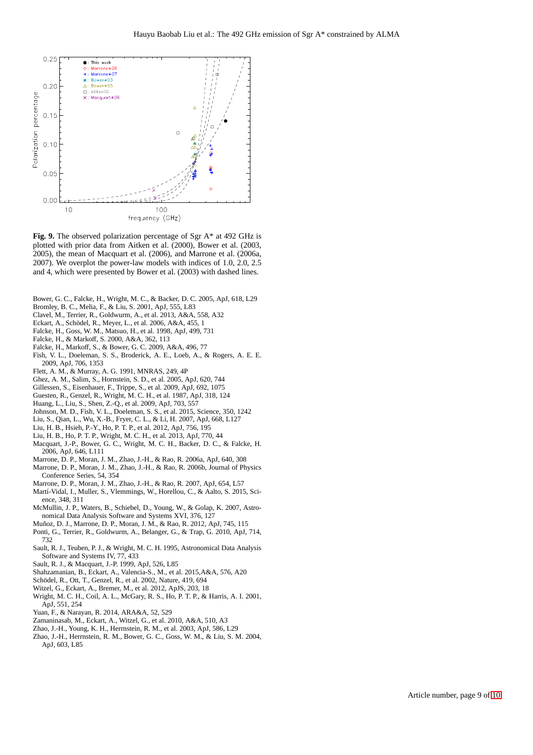

<span id="page-9-0"></span>**Fig. 9.** The observed polarization percentage of Sgr A\* at 492 GHz is plotted with prior data from Aitken et al. (2000), Bower et al. (2003, 2005), the mean of Macquart et al. (2006), and Marrone et al. (2006a, 2007). We overplot the power-law models with indices of 1.0, 2.0, 2.5 and 4, which were presented by Bower et al. (2003) with dashed lines.

- Bower, G. C., Falcke, H., Wright, M. C., & Backer, D. C. 2005, ApJ, 618, L29
- Bromley, B. C., Melia, F., & Liu, S. 2001, ApJ, 555, L83
- Clavel, M., Terrier, R., Goldwurm, A., et al. 2013, A&A, 558, A32
- Eckart, A., Schödel, R., Meyer, L., et al. 2006, A&A, 455, 1
- Falcke, H., Goss, W. M., Matsuo, H., et al. 1998, ApJ, 499, 731
- Falcke, H., & Markoff, S. 2000, A&A, 362, 113
- Falcke, H., Markoff, S., & Bower, G. C. 2009, A&A, 496, 77
- Fish, V. L., Doeleman, S. S., Broderick, A. E., Loeb, A., & Rogers, A. E. E. 2009, ApJ, 706, 1353
- Flett, A. M., & Murray, A. G. 1991, MNRAS, 249, 4P
- Ghez, A. M., Salim, S., Hornstein, S. D., et al. 2005, ApJ, 620, 744
- Gillessen, S., Eisenhauer, F., Trippe, S., et al. 2009, ApJ, 692, 1075
- Guesten, R., Genzel, R., Wright, M. C. H., et al. 1987, ApJ, 318, 124
- Huang, L., Liu, S., Shen, Z.-Q., et al. 2009, ApJ, 703, 557
- Johnson, M. D., Fish, V. L., Doeleman, S. S., et al. 2015, Science, 350, 1242
- Liu, S., Qian, L., Wu, X.-B., Fryer, C. L., & Li, H. 2007, ApJ, 668, L127
- Liu, H. B., Hsieh, P.-Y., Ho, P. T. P., et al. 2012, ApJ, 756, 195
- Liu, H. B., Ho, P. T. P., Wright, M. C. H., et al. 2013, ApJ, 770, 44
- Macquart, J.-P., Bower, G. C., Wright, M. C. H., Backer, D. C., & Falcke, H. 2006, ApJ, 646, L111
- Marrone, D. P., Moran, J. M., Zhao, J.-H., & Rao, R. 2006a, ApJ, 640, 308
- Marrone, D. P., Moran, J. M., Zhao, J.-H., & Rao, R. 2006b, Journal of Physics Conference Series, 54, 354
- Marrone, D. P., Moran, J. M., Zhao, J.-H., & Rao, R. 2007, ApJ, 654, L57
- Martí-Vidal, I., Muller, S., Vlemmings, W., Horellou, C., & Aalto, S. 2015, Science, 348, 311
- McMullin, J. P., Waters, B., Schiebel, D., Young, W., & Golap, K. 2007, Astronomical Data Analysis Software and Systems XVI, 376, 127
- Muñoz, D. J., Marrone, D. P., Moran, J. M., & Rao, R. 2012, ApJ, 745, 115
- Ponti, G., Terrier, R., Goldwurm, A., Belanger, G., & Trap, G. 2010, ApJ, 714, 732
- Sault, R. J., Teuben, P. J., & Wright, M. C. H. 1995, Astronomical Data Analysis Software and Systems IV, 77, 433
- Sault, R. J., & Macquart, J.-P. 1999, ApJ, 526, L85
- Shahzamanian, B., Eckart, A., Valencia-S., M., et al. 2015,A&A, 576, A20
- Schödel, R., Ott, T., Genzel, R., et al. 2002, Nature, 419, 694
- Witzel, G., Eckart, A., Bremer, M., et al. 2012, ApJS, 203, 18
- Wright, M. C. H., Coil, A. L., McGary, R. S., Ho, P. T. P., & Harris, A. I. 2001, ApJ, 551, 254
- Yuan, F., & Narayan, R. 2014, ARA&A, 52, 529
- Zamaninasab, M., Eckart, A., Witzel, G., et al. 2010, A&A, 510, A3
- Zhao, J.-H., Young, K. H., Herrnstein, R. M., et al. 2003, ApJ, 586, L29
- Zhao, J.-H., Herrnstein, R. M., Bower, G. C., Goss, W. M., & Liu, S. M. 2004, ApJ, 603, L85